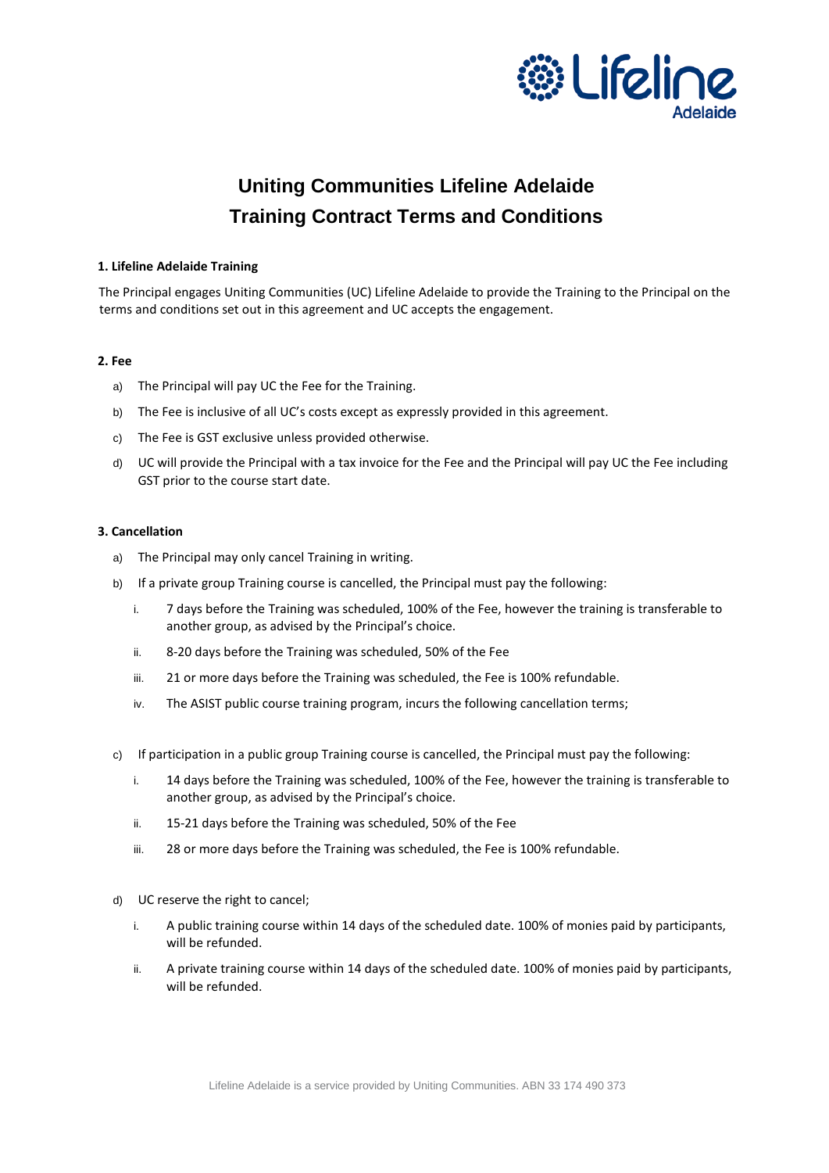

# **Uniting Communities Lifeline Adelaide Training Contract Terms and Conditions**

# **1. Lifeline Adelaide Training**

The Principal engages Uniting Communities (UC) Lifeline Adelaide to provide the Training to the Principal on the terms and conditions set out in this agreement and UC accepts the engagement.

# **2. Fee**

- a) The Principal will pay UC the Fee for the Training.
- b) The Fee is inclusive of all UC's costs except as expressly provided in this agreement.
- c) The Fee is GST exclusive unless provided otherwise.
- d) UC will provide the Principal with a tax invoice for the Fee and the Principal will pay UC the Fee including GST prior to the course start date.

# **3. Cancellation**

- a) The Principal may only cancel Training in writing.
- b) If a private group Training course is cancelled, the Principal must pay the following:
	- i. 7 days before the Training was scheduled, 100% of the Fee, however the training is transferable to another group, as advised by the Principal's choice.
	- ii. 8-20 days before the Training was scheduled, 50% of the Fee
	- iii. 21 or more days before the Training was scheduled, the Fee is 100% refundable.
	- iv. The ASIST public course training program, incurs the following cancellation terms;
- c) If participation in a public group Training course is cancelled, the Principal must pay the following:
	- i. 14 days before the Training was scheduled, 100% of the Fee, however the training is transferable to another group, as advised by the Principal's choice.
	- ii. 15-21 days before the Training was scheduled, 50% of the Fee
	- iii. 28 or more days before the Training was scheduled, the Fee is 100% refundable.
- d) UC reserve the right to cancel;
	- i. A public training course within 14 days of the scheduled date. 100% of monies paid by participants, will be refunded.
	- ii. A private training course within 14 days of the scheduled date. 100% of monies paid by participants, will be refunded.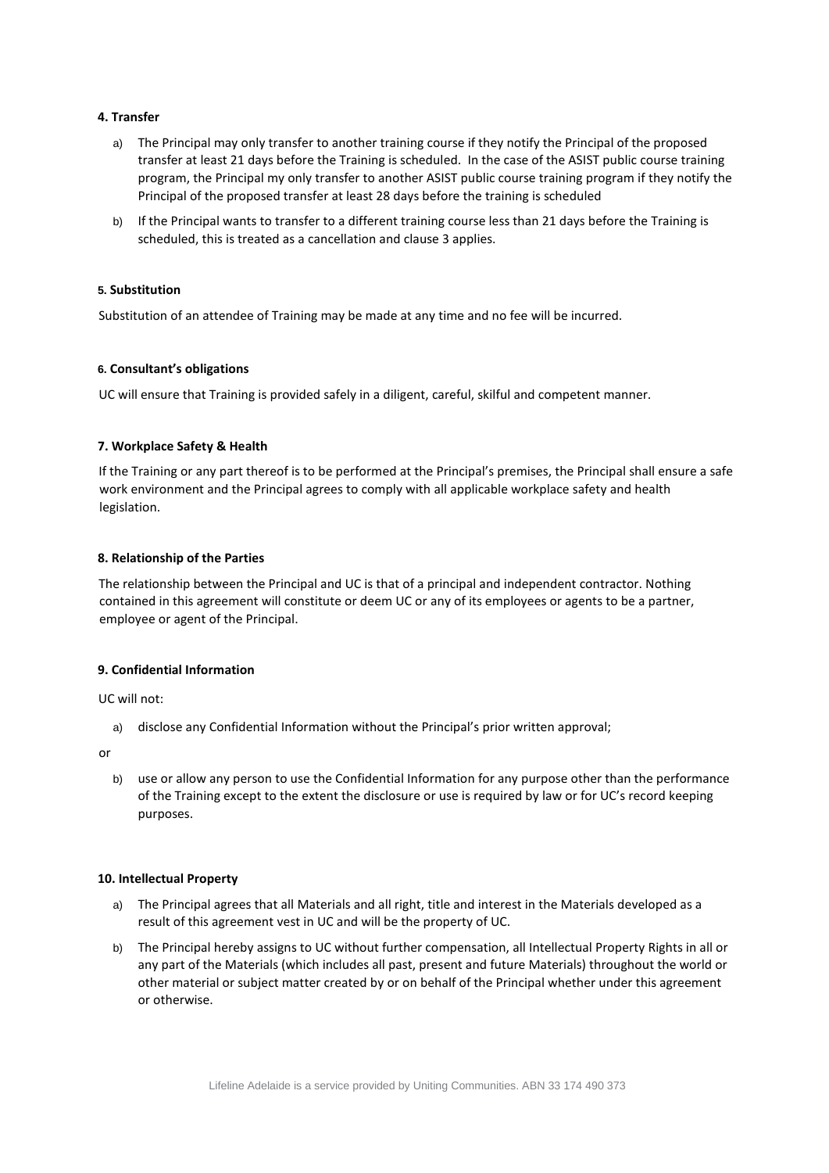# **4. Transfer**

- a) The Principal may only transfer to another training course if they notify the Principal of the proposed transfer at least 21 days before the Training is scheduled. In the case of the ASIST public course training program, the Principal my only transfer to another ASIST public course training program if they notify the Principal of the proposed transfer at least 28 days before the training is scheduled
- b) If the Principal wants to transfer to a different training course less than 21 days before the Training is scheduled, this is treated as a cancellation and clause 3 applies.

# **5. Substitution**

Substitution of an attendee of Training may be made at any time and no fee will be incurred.

# **6. Consultant's obligations**

UC will ensure that Training is provided safely in a diligent, careful, skilful and competent manner.

# **7. Workplace Safety & Health**

If the Training or any part thereof is to be performed at the Principal's premises, the Principal shall ensure a safe work environment and the Principal agrees to comply with all applicable workplace safety and health legislation.

# **8. Relationship of the Parties**

The relationship between the Principal and UC is that of a principal and independent contractor. Nothing contained in this agreement will constitute or deem UC or any of its employees or agents to be a partner, employee or agent of the Principal.

# **9. Confidential Information**

UC will not:

a) disclose any Confidential Information without the Principal's prior written approval;

or

b) use or allow any person to use the Confidential Information for any purpose other than the performance of the Training except to the extent the disclosure or use is required by law or for UC's record keeping purposes.

## **10. Intellectual Property**

- a) The Principal agrees that all Materials and all right, title and interest in the Materials developed as a result of this agreement vest in UC and will be the property of UC.
- b) The Principal hereby assigns to UC without further compensation, all Intellectual Property Rights in all or any part of the Materials (which includes all past, present and future Materials) throughout the world or other material or subject matter created by or on behalf of the Principal whether under this agreement or otherwise.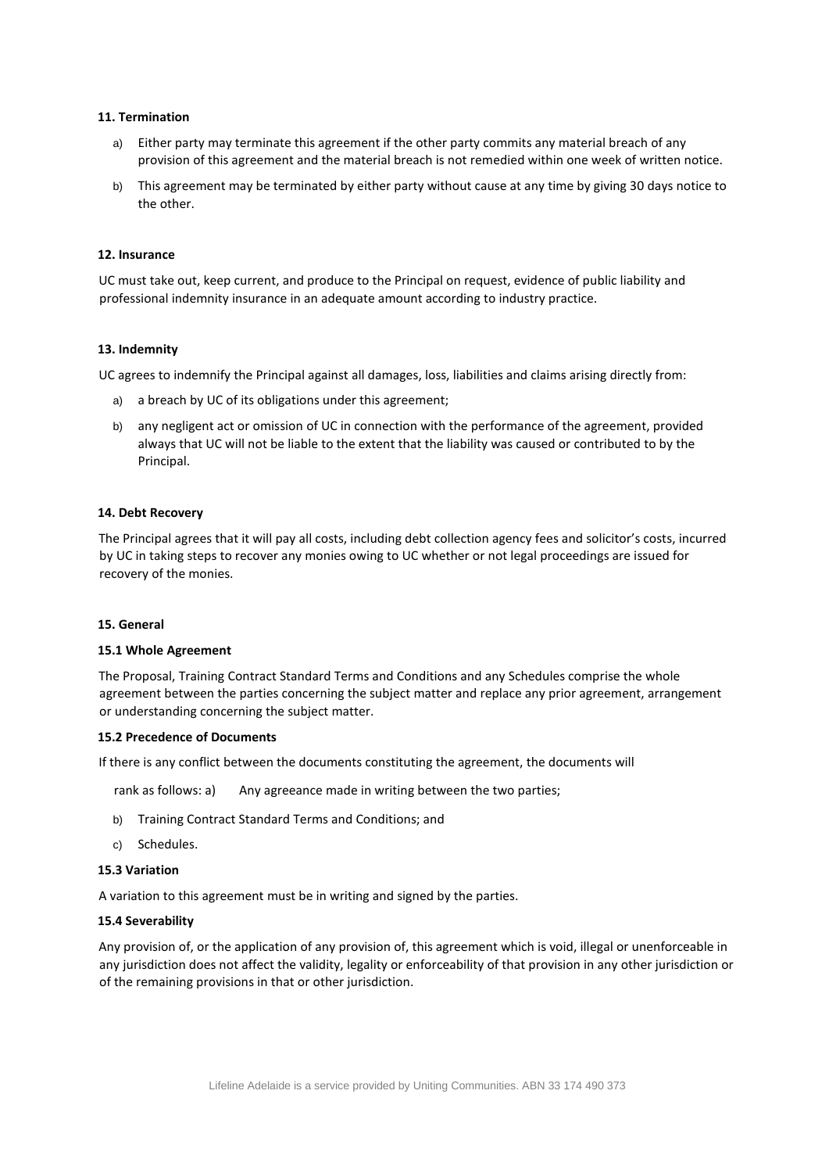## **11. Termination**

- a) Either party may terminate this agreement if the other party commits any material breach of any provision of this agreement and the material breach is not remedied within one week of written notice.
- b) This agreement may be terminated by either party without cause at any time by giving 30 days notice to the other.

# **12. Insurance**

UC must take out, keep current, and produce to the Principal on request, evidence of public liability and professional indemnity insurance in an adequate amount according to industry practice.

## **13. Indemnity**

UC agrees to indemnify the Principal against all damages, loss, liabilities and claims arising directly from:

- a) a breach by UC of its obligations under this agreement;
- b) any negligent act or omission of UC in connection with the performance of the agreement, provided always that UC will not be liable to the extent that the liability was caused or contributed to by the Principal.

#### **14. Debt Recovery**

The Principal agrees that it will pay all costs, including debt collection agency fees and solicitor's costs, incurred by UC in taking steps to recover any monies owing to UC whether or not legal proceedings are issued for recovery of the monies.

#### **15. General**

## **15.1 Whole Agreement**

The Proposal, Training Contract Standard Terms and Conditions and any Schedules comprise the whole agreement between the parties concerning the subject matter and replace any prior agreement, arrangement or understanding concerning the subject matter.

## **15.2 Precedence of Documents**

If there is any conflict between the documents constituting the agreement, the documents will

rank as follows: a) Any agreeance made in writing between the two parties;

- b) Training Contract Standard Terms and Conditions; and
- c) Schedules.

#### **15.3 Variation**

A variation to this agreement must be in writing and signed by the parties.

#### **15.4 Severability**

Any provision of, or the application of any provision of, this agreement which is void, illegal or unenforceable in any jurisdiction does not affect the validity, legality or enforceability of that provision in any other jurisdiction or of the remaining provisions in that or other jurisdiction.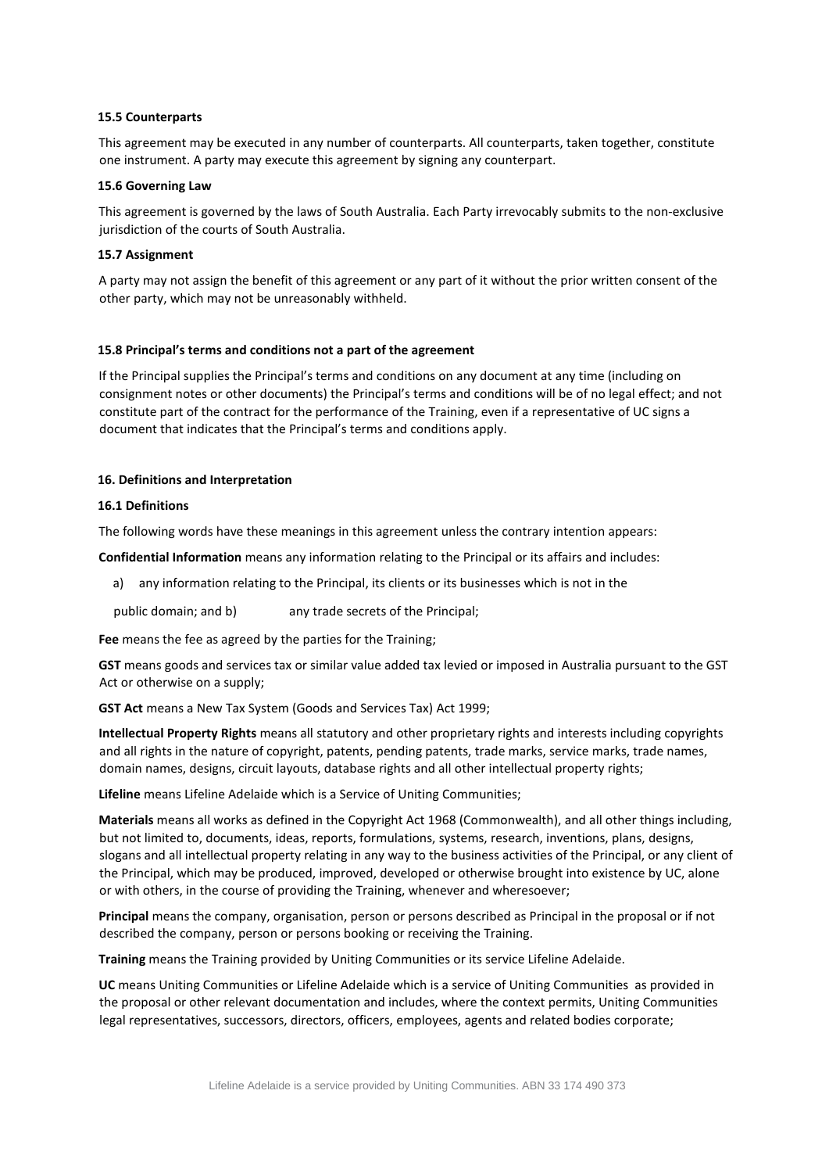## **15.5 Counterparts**

This agreement may be executed in any number of counterparts. All counterparts, taken together, constitute one instrument. A party may execute this agreement by signing any counterpart.

## **15.6 Governing Law**

This agreement is governed by the laws of South Australia. Each Party irrevocably submits to the non-exclusive jurisdiction of the courts of South Australia.

## **15.7 Assignment**

A party may not assign the benefit of this agreement or any part of it without the prior written consent of the other party, which may not be unreasonably withheld.

# **15.8 Principal's terms and conditions not a part of the agreement**

If the Principal supplies the Principal's terms and conditions on any document at any time (including on consignment notes or other documents) the Principal's terms and conditions will be of no legal effect; and not constitute part of the contract for the performance of the Training, even if a representative of UC signs a document that indicates that the Principal's terms and conditions apply.

# **16. Definitions and Interpretation**

# **16.1 Definitions**

The following words have these meanings in this agreement unless the contrary intention appears:

**Confidential Information** means any information relating to the Principal or its affairs and includes:

a) any information relating to the Principal, its clients or its businesses which is not in the

public domain; and b) any trade secrets of the Principal;

**Fee** means the fee as agreed by the parties for the Training;

**GST** means goods and services tax or similar value added tax levied or imposed in Australia pursuant to the GST Act or otherwise on a supply;

**GST Act** means a New Tax System (Goods and Services Tax) Act 1999;

**Intellectual Property Rights** means all statutory and other proprietary rights and interests including copyrights and all rights in the nature of copyright, patents, pending patents, trade marks, service marks, trade names, domain names, designs, circuit layouts, database rights and all other intellectual property rights;

**Lifeline** means Lifeline Adelaide which is a Service of Uniting Communities;

**Materials** means all works as defined in the Copyright Act 1968 (Commonwealth), and all other things including, but not limited to, documents, ideas, reports, formulations, systems, research, inventions, plans, designs, slogans and all intellectual property relating in any way to the business activities of the Principal, or any client of the Principal, which may be produced, improved, developed or otherwise brought into existence by UC, alone or with others, in the course of providing the Training, whenever and wheresoever;

**Principal** means the company, organisation, person or persons described as Principal in the proposal or if not described the company, person or persons booking or receiving the Training.

**Training** means the Training provided by Uniting Communities or its service Lifeline Adelaide.

**UC** means Uniting Communities or Lifeline Adelaide which is a service of Uniting Communities as provided in the proposal or other relevant documentation and includes, where the context permits, Uniting Communities legal representatives, successors, directors, officers, employees, agents and related bodies corporate;